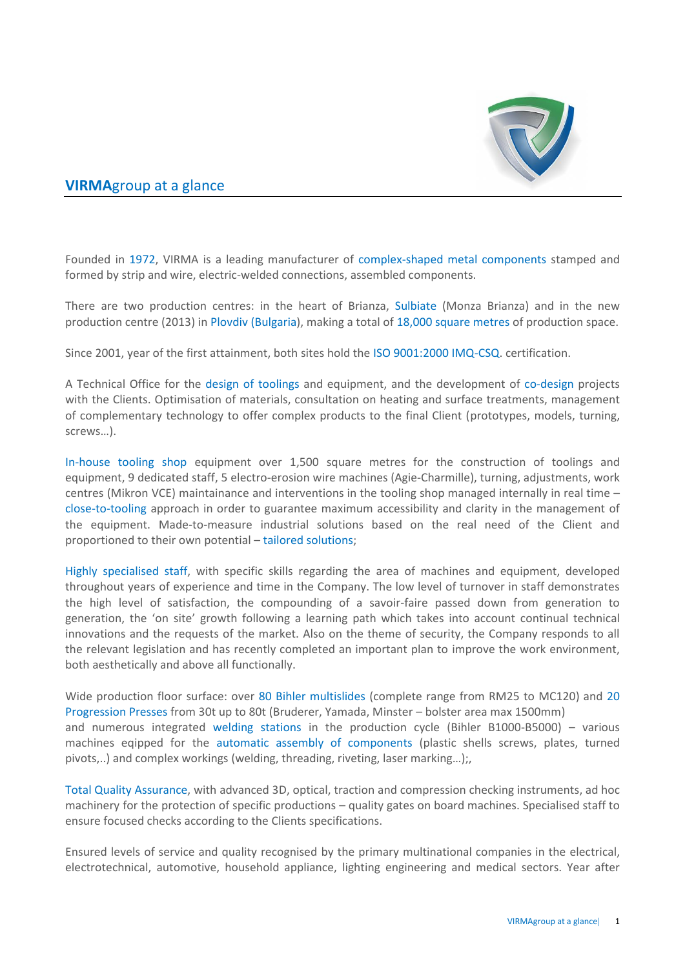

### **VIRMA**group at a glance

Founded in 1972, VIRMA is a leading manufacturer of complex-shaped metal components stamped and formed by strip and wire, electric-welded connections, assembled components.

There are two production centres: in the heart of Brianza, Sulbiate (Monza Brianza) and in the new production centre (2013) in Plovdiv (Bulgaria), making a total of 18,000 square metres of production space.

Since 2001, year of the first attainment, both sites hold the ISO 9001:2000 IMQ-CSQ. certification.

A Technical Office for the design of toolings and equipment, and the development of co-design projects with the Clients. Optimisation of materials, consultation on heating and surface treatments, management of complementary technology to offer complex products to the final Client (prototypes, models, turning, screws…).

In-house tooling shop equipment over 1,500 square metres for the construction of toolings and equipment, 9 dedicated staff, 5 electro-erosion wire machines (Agie-Charmille), turning, adjustments, work centres (Mikron VCE) maintainance and interventions in the tooling shop managed internally in real time – close-to-tooling approach in order to guarantee maximum accessibility and clarity in the management of the equipment. Made-to-measure industrial solutions based on the real need of the Client and proportioned to their own potential – tailored solutions;

Highly specialised staff, with specific skills regarding the area of machines and equipment, developed throughout years of experience and time in the Company. The low level of turnover in staff demonstrates the high level of satisfaction, the compounding of a savoir-faire passed down from generation to generation, the 'on site' growth following a learning path which takes into account continual technical innovations and the requests of the market. Also on the theme of security, the Company responds to all the relevant legislation and has recently completed an important plan to improve the work environment, both aesthetically and above all functionally.

Wide production floor surface: over 80 Bihler multislides (complete range from RM25 to MC120) and 20 Progression Presses from 30t up to 80t (Bruderer, Yamada, Minster – bolster area max 1500mm) and numerous integrated welding stations in the production cycle (Bihler B1000-B5000) – various machines eqipped for the automatic assembly of components (plastic shells screws, plates, turned pivots,..) and complex workings (welding, threading, riveting, laser marking…);,

Total Quality Assurance, with advanced 3D, optical, traction and compression checking instruments, ad hoc machinery for the protection of specific productions – quality gates on board machines. Specialised staff to ensure focused checks according to the Clients specifications.

Ensured levels of service and quality recognised by the primary multinational companies in the electrical, electrotechnical, automotive, household appliance, lighting engineering and medical sectors. Year after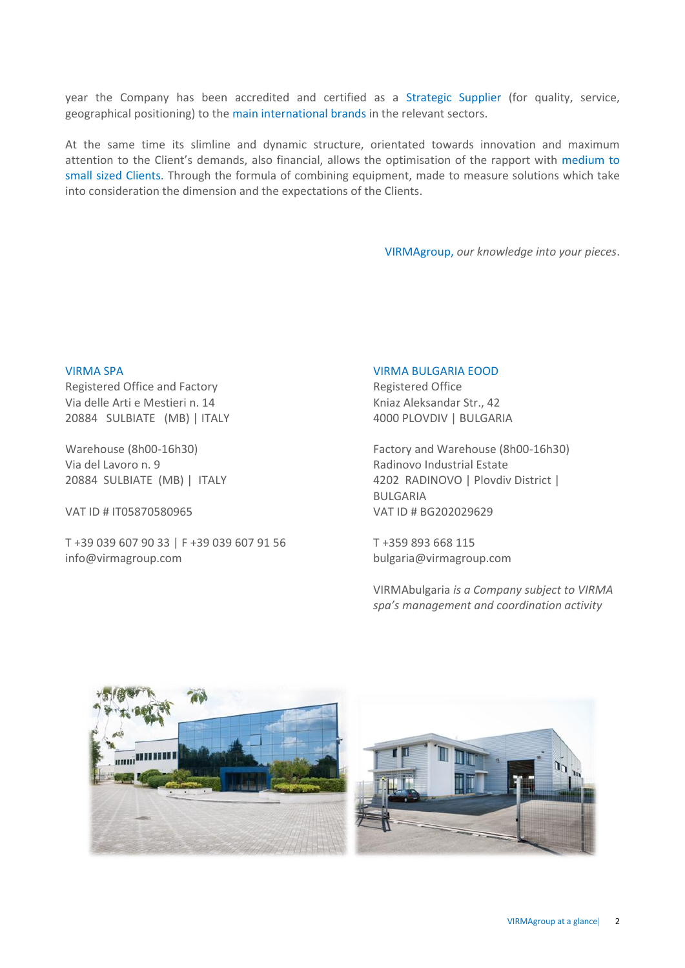year the Company has been accredited and certified as a Strategic Supplier (for quality, service, geographical positioning) to the main international brands in the relevant sectors.

At the same time its slimline and dynamic structure, orientated towards innovation and maximum attention to the Client's demands, also financial, allows the optimisation of the rapport with medium to small sized Clients. Through the formula of combining equipment, made to measure solutions which take into consideration the dimension and the expectations of the Clients.

VIRMAgroup, *our knowledge into your pieces*.

### VIRMA SPA

Registered Office and Factory Via delle Arti e Mestieri n. 14 20884 SULBIATE (MB) | ITALY

Warehouse (8h00-16h30) Via del Lavoro n. 9 20884 SULBIATE (MB) | ITALY

VAT ID # IT05870580965 VAT ID # BG202029629

T +39 039 607 90 33 | F +39 039 607 91 56 info@virmagroup.com

#### VIRMA BULGARIA EOOD

Registered Office Kniaz Aleksandar Str., 42 4000 PLOVDIV | BULGARIA

Factory and Warehouse (8h00-16h30) Radinovo Industrial Estate 4202 RADINOVO | Plovdiv District | BULGARIA

T +359 893 668 115 [bulgaria@virmagroup.com](mailto:bulgaria@virmagroup.com)

VIRMAbulgaria *is a Company subject to VIRMA spa's management and coordination activity*